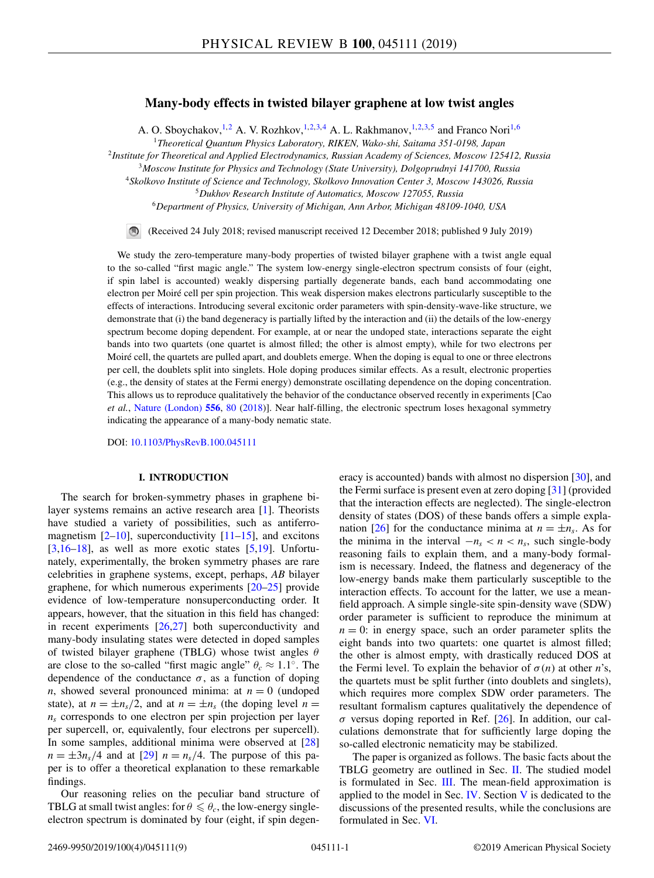# **Many-body effects in twisted bilayer graphene at low twist angles**

A. O. Sboychakov, <sup>1,2</sup> A. V. Rozhkov, <sup>1,2,3,4</sup> A. L. Rakhmanov, <sup>1,2,3,5</sup> and Franco Nori<sup>1,6</sup>

<sup>1</sup>*Theoretical Quantum Physics Laboratory, RIKEN, Wako-shi, Saitama 351-0198, Japan*

<sup>2</sup>*Institute for Theoretical and Applied Electrodynamics, Russian Academy of Sciences, Moscow 125412, Russia*

<sup>3</sup>*Moscow Institute for Physics and Technology (State University), Dolgoprudnyi 141700, Russia*

<sup>4</sup>*Skolkovo Institute of Science and Technology, Skolkovo Innovation Center 3, Moscow 143026, Russia*

<sup>5</sup>*Dukhov Research Institute of Automatics, Moscow 127055, Russia*

<sup>6</sup>*Department of Physics, University of Michigan, Ann Arbor, Michigan 48109-1040, USA*

 $\bigcirc$ (Received 24 July 2018; revised manuscript received 12 December 2018; published 9 July 2019)

We study the zero-temperature many-body properties of twisted bilayer graphene with a twist angle equal to the so-called "first magic angle." The system low-energy single-electron spectrum consists of four (eight, if spin label is accounted) weakly dispersing partially degenerate bands, each band accommodating one electron per Moiré cell per spin projection. This weak dispersion makes electrons particularly susceptible to the effects of interactions. Introducing several excitonic order parameters with spin-density-wave-like structure, we demonstrate that (i) the band degeneracy is partially lifted by the interaction and (ii) the details of the low-energy spectrum become doping dependent. For example, at or near the undoped state, interactions separate the eight bands into two quartets (one quartet is almost filled; the other is almost empty), while for two electrons per Moiré cell, the quartets are pulled apart, and doublets emerge. When the doping is equal to one or three electrons per cell, the doublets split into singlets. Hole doping produces similar effects. As a result, electronic properties (e.g., the density of states at the Fermi energy) demonstrate oscillating dependence on the doping concentration. This allows us to reproduce qualitatively the behavior of the conductance observed recently in experiments [Cao *et al.*, [Nature \(London\)](https://doi.org/10.1038/nature26154) **[556](https://doi.org/10.1038/nature26154)**, [80](https://doi.org/10.1038/nature26154) [\(2018\)](https://doi.org/10.1038/nature26154)]. Near half-filling, the electronic spectrum loses hexagonal symmetry indicating the appearance of a many-body nematic state.

DOI: [10.1103/PhysRevB.100.045111](https://doi.org/10.1103/PhysRevB.100.045111)

### **I. INTRODUCTION**

The search for broken-symmetry phases in graphene bilayer systems remains an active research area [\[1\]](#page-7-0). Theorists have studied a variety of possibilities, such as antiferromagnetism  $[2-10]$ , superconductivity  $[11-15]$ , and excitons  $[3,16-18]$ , as well as more exotic states  $[5,19]$  $[5,19]$ . Unfortunately, experimentally, the broken symmetry phases are rare celebrities in graphene systems, except, perhaps, *AB* bilayer graphene, for which numerous experiments [\[20–25\]](#page-8-0) provide evidence of low-temperature nonsuperconducting order. It appears, however, that the situation in this field has changed: in recent experiments [\[26,27\]](#page-8-0) both superconductivity and many-body insulating states were detected in doped samples of twisted bilayer graphene (TBLG) whose twist angles  $\theta$ are close to the so-called "first magic angle"  $\theta_c \approx 1.1^\circ$ . The dependence of the conductance  $\sigma$ , as a function of doping *n*, showed several pronounced minima: at  $n = 0$  (undoped state), at  $n = \pm n_s/2$ , and at  $n = \pm n_s$  (the doping level  $n =$  $n<sub>s</sub>$  corresponds to one electron per spin projection per layer per supercell, or, equivalently, four electrons per supercell). In some samples, additional minima were observed at [\[28\]](#page-8-0)  $n = \pm 3n_s/4$  and at [\[29\]](#page-8-0)  $n = n_s/4$ . The purpose of this paper is to offer a theoretical explanation to these remarkable findings.

Our reasoning relies on the peculiar band structure of TBLG at small twist angles: for  $\theta \le \theta_c$ , the low-energy singleelectron spectrum is dominated by four (eight, if spin degen-

eracy is accounted) bands with almost no dispersion [\[30\]](#page-8-0), and the Fermi surface is present even at zero doping [\[31\]](#page-8-0) (provided that the interaction effects are neglected). The single-electron density of states (DOS) of these bands offers a simple expla-nation [\[26\]](#page-8-0) for the conductance minima at  $n = \pm n_s$ . As for the minima in the interval  $-n_s < n < n_s$ , such single-body reasoning fails to explain them, and a many-body formalism is necessary. Indeed, the flatness and degeneracy of the low-energy bands make them particularly susceptible to the interaction effects. To account for the latter, we use a meanfield approach. A simple single-site spin-density wave (SDW) order parameter is sufficient to reproduce the minimum at  $n = 0$ : in energy space, such an order parameter splits the eight bands into two quartets: one quartet is almost filled; the other is almost empty, with drastically reduced DOS at the Fermi level. To explain the behavior of  $\sigma(n)$  at other *n*'s, the quartets must be split further (into doublets and singlets), which requires more complex SDW order parameters. The resultant formalism captures qualitatively the dependence of  $\sigma$  versus doping reported in Ref. [\[26\]](#page-8-0). In addition, our calculations demonstrate that for sufficiently large doping the so-called electronic nematicity may be stabilized.

The paper is organized as follows. The basic facts about the TBLG geometry are outlined in Sec. [II.](#page-1-0) The studied model is formulated in Sec. [III.](#page-1-0) The mean-field approximation is applied to the model in Sec.  $IV$  $IV$ . Section V is dedicated to the discussions of the presented results, while the conclusions are formulated in Sec. [VI.](#page-7-0)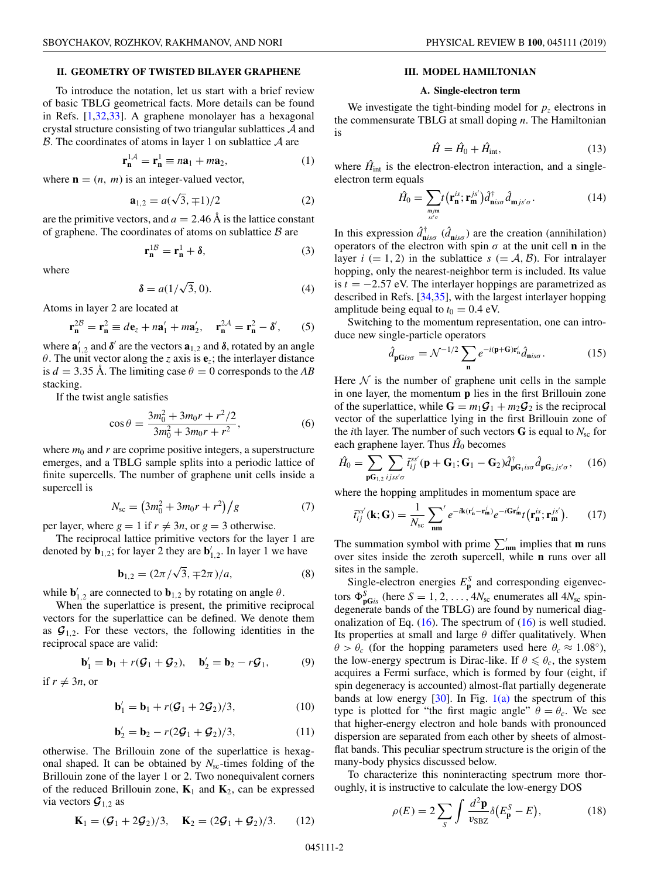### <span id="page-1-0"></span>**II. GEOMETRY OF TWISTED BILAYER GRAPHENE**

To introduce the notation, let us start with a brief review of basic TBLG geometrical facts. More details can be found in Refs. [\[1,](#page-7-0)[32,33\]](#page-8-0). A graphene monolayer has a hexagonal crystal structure consisting of two triangular sublattices A and  $\beta$ . The coordinates of atoms in layer 1 on sublattice  $\mathcal A$  are

$$
\mathbf{r}_{\mathbf{n}}^{1\mathcal{A}} = \mathbf{r}_{\mathbf{n}}^1 \equiv n\mathbf{a}_1 + m\mathbf{a}_2,\tag{1}
$$

where  $\mathbf{n} = (n, m)$  is an integer-valued vector,

$$
\mathbf{a}_{1,2} = a(\sqrt{3}, \mp 1)/2 \tag{2}
$$

are the primitive vectors, and  $a = 2.46 \text{ Å}$  is the lattice constant of graphene. The coordinates of atoms on sublattice  $B$  are

$$
\mathbf{r}_{\mathbf{n}}^{1B} = \mathbf{r}_{\mathbf{n}}^1 + \boldsymbol{\delta},\tag{3}
$$

where

$$
\delta = a(1/\sqrt{3}, 0). \tag{4}
$$

Atoms in layer 2 are located at

$$
\mathbf{r}_{\mathbf{n}}^{2B} = \mathbf{r}_{\mathbf{n}}^2 \equiv d\mathbf{e}_z + n\mathbf{a}'_1 + m\mathbf{a}'_2, \quad \mathbf{r}_{\mathbf{n}}^{2A} = \mathbf{r}_{\mathbf{n}}^2 - \delta', \qquad (5)
$$

where  $\mathbf{a}'_{1,2}$  and  $\boldsymbol{\delta}'$  are the vectors  $\mathbf{a}_{1,2}$  and  $\boldsymbol{\delta}$ , rotated by an angle θ. The unit vector along the *z* axis is **e***z*; the interlayer distance is  $d = 3.35$  Å. The limiting case  $\theta = 0$  corresponds to the *AB* stacking.

If the twist angle satisfies

$$
\cos \theta = \frac{3m_0^2 + 3m_0r + r^2/2}{3m_0^2 + 3m_0r + r^2},\tag{6}
$$

where  $m_0$  and  $r$  are coprime positive integers, a superstructure emerges, and a TBLG sample splits into a periodic lattice of finite supercells. The number of graphene unit cells inside a supercell is

$$
N_{\rm sc} = \left(3m_0^2 + 3m_0r + r^2\right)/g\tag{7}
$$

per layer, where  $g = 1$  if  $r \neq 3n$ , or  $g = 3$  otherwise.

The reciprocal lattice primitive vectors for the layer 1 are denoted by  $\mathbf{b}_{1,2}$ ; for layer 2 they are  $\mathbf{b}'_{1,2}$ . In layer 1 we have

$$
\mathbf{b}_{1,2} = (2\pi/\sqrt{3}, \mp 2\pi)/a,\tag{8}
$$

while  $\mathbf{b}'_{1,2}$  are connected to  $\mathbf{b}_{1,2}$  by rotating on angle  $\theta$ .

When the superlattice is present, the primitive reciprocal vectors for the superlattice can be defined. We denote them as  $\mathcal{G}_{1,2}$ . For these vectors, the following identities in the reciprocal space are valid:

$$
\mathbf{b}'_1 = \mathbf{b}_1 + r(\mathcal{G}_1 + \mathcal{G}_2), \quad \mathbf{b}'_2 = \mathbf{b}_2 - r\mathcal{G}_1,\tag{9}
$$

if  $r \neq 3n$ , or

$$
\mathbf{b}'_1 = \mathbf{b}_1 + r(\mathcal{G}_1 + 2\mathcal{G}_2)/3, \tag{10}
$$

$$
\mathbf{b}'_2 = \mathbf{b}_2 - r(2\mathcal{G}_1 + \mathcal{G}_2)/3,\tag{11}
$$

otherwise. The Brillouin zone of the superlattice is hexagonal shaped. It can be obtained by  $N_{sc}$ -times folding of the Brillouin zone of the layer 1 or 2. Two nonequivalent corners of the reduced Brillouin zone,  $\mathbf{K}_1$  and  $\mathbf{K}_2$ , can be expressed via vectors  $\mathcal{G}_{1,2}$  as

$$
\mathbf{K}_1 = (\mathcal{G}_1 + 2\mathcal{G}_2)/3, \quad \mathbf{K}_2 = (2\mathcal{G}_1 + \mathcal{G}_2)/3. \tag{12}
$$

### **III. MODEL HAMILTONIAN**

#### **A. Single-electron term**

We investigate the tight-binding model for  $p<sub>z</sub>$  electrons in the commensurate TBLG at small doping *n*. The Hamiltonian is

$$
\hat{H} = \hat{H}_0 + \hat{H}_{\text{int}},\tag{13}
$$

where  $\hat{H}_{int}$  is the electron-electron interaction, and a singleelectron term equals

$$
\hat{H}_0 = \sum_{\substack{\mathbf{m}, \mathbf{m} \\ s s' \sigma}} t(\mathbf{r}_\mathbf{n}^{is}; \mathbf{r}_\mathbf{m}^{js'}) \hat{d}_{\mathbf{n}is\sigma}^\dagger \hat{d}_{\mathbf{m}js'\sigma}.
$$
(14)

In this expression  $\hat{d}^{\dagger}_{\text{n}i s\sigma}$  ( $\hat{d}_{\text{n}i s\sigma}$ ) are the creation (annihilation) operators of the electron with spin  $\sigma$  at the unit cell **n** in the layer  $i (= 1, 2)$  in the sublattice  $s (= A, B)$ . For intralayer hopping, only the nearest-neighbor term is included. Its value is *t* = −2.57 eV. The interlayer hoppings are parametrized as described in Refs. [\[34,35\]](#page-8-0), with the largest interlayer hopping amplitude being equal to  $t_0 = 0.4$  eV.

Switching to the momentum representation, one can introduce new single-particle operators

$$
\hat{d}_{\mathbf{pG}is\sigma} = \mathcal{N}^{-1/2} \sum_{\mathbf{n}} e^{-i(\mathbf{p} + \mathbf{G}) \mathbf{r}_{\mathbf{n}}^i} \hat{d}_{\mathbf{n}is\sigma}.
$$
 (15)

Here  $N$  is the number of graphene unit cells in the sample in one layer, the momentum **p** lies in the first Brillouin zone of the superlattice, while  $G = m_1 G_1 + m_2 G_2$  is the reciprocal vector of the superlattice lying in the first Brillouin zone of the *i*th layer. The number of such vectors  $\bf{G}$  is equal to  $N_{\rm sc}$  for each graphene layer. Thus  $\hat{H}_0$  becomes

$$
\hat{H}_0 = \sum_{\mathbf{p} \mathbf{G}_{1,2}} \sum_{ijss'\sigma} \tilde{t}_{ij}^{ss'}(\mathbf{p} + \mathbf{G}_1; \mathbf{G}_1 - \mathbf{G}_2) \hat{d}_{\mathbf{p} \mathbf{G}_1 \, iso}^{\dagger} \hat{d}_{\mathbf{p} \mathbf{G}_2 \, js'\sigma}, \quad (16)
$$

where the hopping amplitudes in momentum space are

$$
\tilde{t}_{ij}^{ss'}(\mathbf{k};\mathbf{G}) = \frac{1}{N_{sc}} \sum_{\mathbf{nm}}' e^{-i\mathbf{k}(\mathbf{r}_{\mathbf{n}}' - \mathbf{r}_{\mathbf{m}}')} e^{-i\mathbf{G}\mathbf{r}_{\mathbf{m}}'} t(\mathbf{r}_{\mathbf{n}}^{is}; \mathbf{r}_{\mathbf{m}}^{js'}).
$$
(17)

The summation symbol with prime  $\sum'_{nm}$  implies that **m** runs over sites inside the zeroth supercell, while **n** runs over all sites in the sample.

Single-electron energies  $E_p^S$  and corresponding eigenvectors  $\Phi_{\text{pG}}^{S}$  (here  $S = 1, 2, ..., 4N_{sc}$  enumerates all  $4N_{sc}$  spindegenerate bands of the TBLG) are found by numerical diagonalization of Eq.  $(16)$ . The spectrum of  $(16)$  is well studied. Its properties at small and large  $\theta$  differ qualitatively. When  $\theta > \theta_c$  (for the hopping parameters used here  $\theta_c \approx 1.08°$ ), the low-energy spectrum is Dirac-like. If  $\theta \le \theta_c$ , the system acquires a Fermi surface, which is formed by four (eight, if spin degeneracy is accounted) almost-flat partially degenerate bands at low energy  $[30]$ . In Fig.  $1(a)$  the spectrum of this type is plotted for "the first magic angle"  $\theta = \theta_c$ . We see that higher-energy electron and hole bands with pronounced dispersion are separated from each other by sheets of almostflat bands. This peculiar spectrum structure is the origin of the many-body physics discussed below.

To characterize this noninteracting spectrum more thoroughly, it is instructive to calculate the low-energy DOS

$$
\rho(E) = 2 \sum_{S} \int \frac{d^2 \mathbf{p}}{v_{\text{S}BZ}} \delta(E_{\mathbf{p}}^S - E), \tag{18}
$$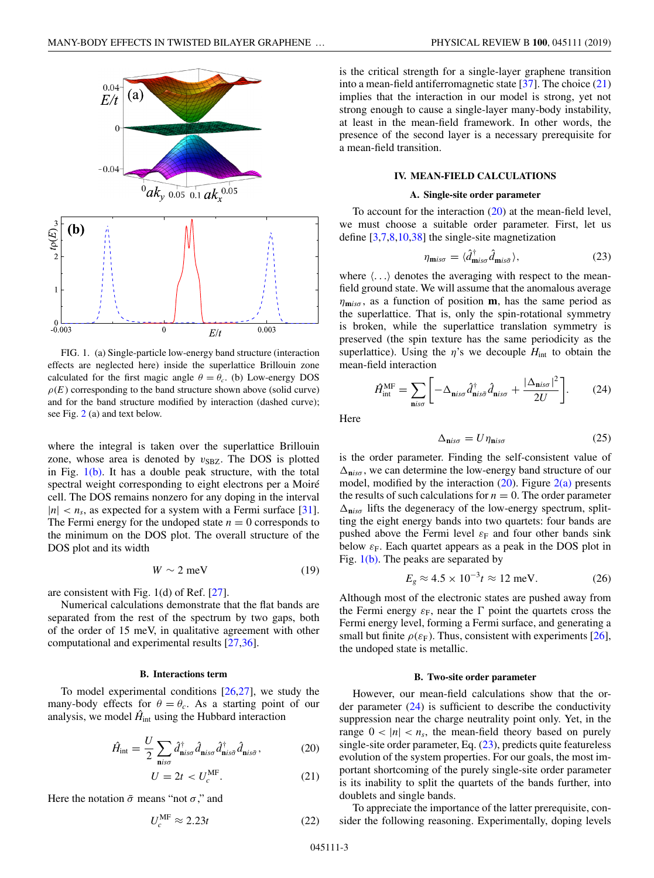<span id="page-2-0"></span>

FIG. 1. (a) Single-particle low-energy band structure (interaction effects are neglected here) inside the superlattice Brillouin zone calculated for the first magic angle  $\theta = \theta_c$ . (b) Low-energy DOS  $\rho(E)$  corresponding to the band structure shown above (solid curve) and for the band structure modified by interaction (dashed curve); see Fig. [2](#page-3-0) (a) and text below.

where the integral is taken over the superlattice Brillouin zone, whose area is denoted by  $v_{SBZ}$ . The DOS is plotted in Fig.  $1(b)$ . It has a double peak structure, with the total spectral weight corresponding to eight electrons per a Moiré cell. The DOS remains nonzero for any doping in the interval  $|n| < n_s$ , as expected for a system with a Fermi surface [\[31\]](#page-8-0). The Fermi energy for the undoped state  $n = 0$  corresponds to the minimum on the DOS plot. The overall structure of the DOS plot and its width

$$
W \sim 2 \text{ meV} \tag{19}
$$

are consistent with Fig. 1(d) of Ref. [\[27\]](#page-8-0).

Numerical calculations demonstrate that the flat bands are separated from the rest of the spectrum by two gaps, both of the order of 15 meV, in qualitative agreement with other computational and experimental results [\[27,36\]](#page-8-0).

#### **B. Interactions term**

To model experimental conditions  $[26,27]$ , we study the many-body effects for  $\theta = \theta_c$ . As a starting point of our analysis, we model  $\hat{H}_{int}$  using the Hubbard interaction

$$
\hat{H}_{\text{int}} = \frac{U}{2} \sum_{\mathbf{n} i s \sigma} \hat{d}_{\mathbf{n} i s \sigma}^{\dagger} \hat{d}_{\mathbf{n} i s \sigma}^{\dagger} \hat{d}_{\mathbf{n} i s \bar{\sigma}}^{\dagger} \hat{d}_{\mathbf{n} i s \bar{\sigma}}, \tag{20}
$$

$$
U = 2t < U_c^{\text{MF}}.\tag{21}
$$

Here the notation  $\bar{\sigma}$  means "not  $\sigma$ ," and

$$
U_c^{\text{MF}} \approx 2.23t \tag{22}
$$

is the critical strength for a single-layer graphene transition into a mean-field antiferromagnetic state  $[37]$ . The choice  $(21)$ implies that the interaction in our model is strong, yet not strong enough to cause a single-layer many-body instability, at least in the mean-field framework. In other words, the presence of the second layer is a necessary prerequisite for a mean-field transition.

### **IV. MEAN-FIELD CALCULATIONS**

### **A. Single-site order parameter**

To account for the interaction  $(20)$  at the mean-field level, we must choose a suitable order parameter. First, let us define [\[3,7,8,10,](#page-7-0)[38\]](#page-8-0) the single-site magnetization

$$
\eta_{\text{m}is\sigma} = \langle \hat{d}^{\dagger}_{\text{m}is\sigma} \hat{d}_{\text{m}is\bar{\sigma}} \rangle, \tag{23}
$$

where  $\langle \ldots \rangle$  denotes the averaging with respect to the meanfield ground state. We will assume that the anomalous average  $\eta_{\text{mix}\sigma}$ , as a function of position **m**, has the same period as the superlattice. That is, only the spin-rotational symmetry is broken, while the superlattice translation symmetry is preserved (the spin texture has the same periodicity as the superlattice). Using the  $\eta$ 's we decouple  $H_{int}$  to obtain the mean-field interaction

$$
\hat{H}_{\text{int}}^{\text{MF}} = \sum_{\text{n}is\sigma} \left[ -\Delta_{\text{n}is\sigma} \hat{d}_{\text{n}is\sigma}^{\dagger} \hat{d}_{\text{n}is\sigma} + \frac{|\Delta_{\text{n}is\sigma}|^2}{2U} \right].
$$
 (24)

Here

$$
\Delta_{\mathbf{n}is\sigma} = U\eta_{\mathbf{n}is\sigma} \tag{25}
$$

is the order parameter. Finding the self-consistent value of  $\Delta_{\text{niso}}$ , we can determine the low-energy band structure of our model, modified by the interaction  $(20)$ . Figure  $2(a)$  presents the results of such calculations for  $n = 0$ . The order parameter  $\Delta_{\mathbf{n} i s \sigma}$  lifts the degeneracy of the low-energy spectrum, splitting the eight energy bands into two quartets: four bands are pushed above the Fermi level  $\varepsilon_F$  and four other bands sink below  $\varepsilon_F$ . Each quartet appears as a peak in the DOS plot in Fig.  $1(b)$ . The peaks are separated by

$$
E_g \approx 4.5 \times 10^{-3} t \approx 12 \text{ meV.}
$$
 (26)

Although most of the electronic states are pushed away from the Fermi energy  $\varepsilon_F$ , near the  $\Gamma$  point the quartets cross the Fermi energy level, forming a Fermi surface, and generating a small but finite  $\rho(\varepsilon_F)$ . Thus, consistent with experiments [\[26\]](#page-8-0), the undoped state is metallic.

### **B. Two-site order parameter**

However, our mean-field calculations show that the order parameter  $(24)$  is sufficient to describe the conductivity suppression near the charge neutrality point only. Yet, in the range  $0 < |n| < n_s$ , the mean-field theory based on purely single-site order parameter, Eq. (23), predicts quite featureless evolution of the system properties. For our goals, the most important shortcoming of the purely single-site order parameter is its inability to split the quartets of the bands further, into doublets and single bands.

To appreciate the importance of the latter prerequisite, consider the following reasoning. Experimentally, doping levels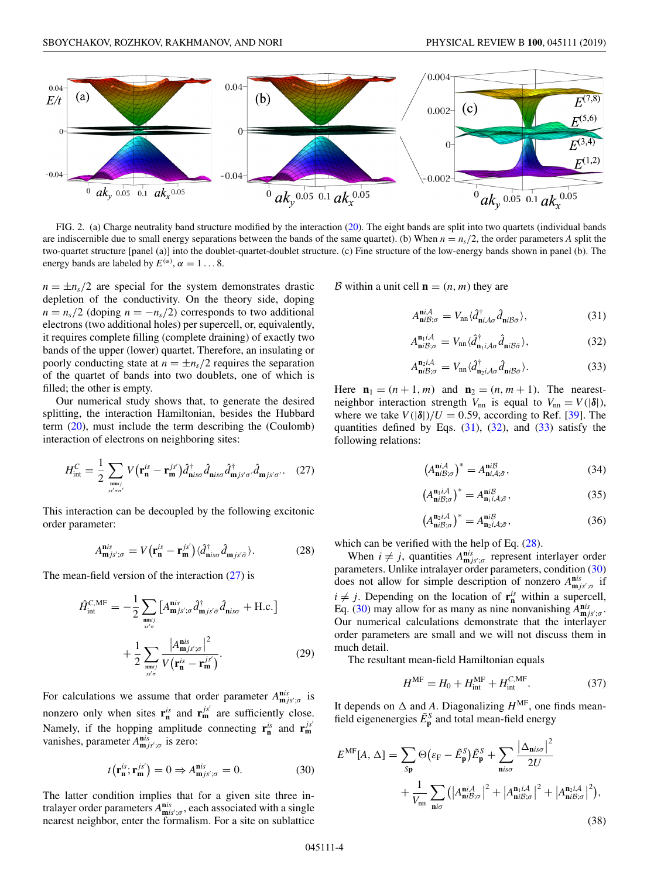<span id="page-3-0"></span>

FIG. 2. (a) Charge neutrality band structure modified by the interaction [\(20\)](#page-2-0). The eight bands are split into two quartets (individual bands are indiscernible due to small energy separations between the bands of the same quartet). (b) When  $n = n_s/2$ , the order parameters *A* split the two-quartet structure [panel (a)] into the doublet-quartet-doublet structure. (c) Fine structure of the low-energy bands shown in panel (b). The energy bands are labeled by  $E^{(\alpha)}$ ,  $\alpha = 1...8$ .

 $n = \pm n_s/2$  are special for the system demonstrates drastic depletion of the conductivity. On the theory side, doping  $n = n_s/2$  (doping  $n = -n_s/2$ ) corresponds to two additional electrons (two additional holes) per supercell, or, equivalently, it requires complete filling (complete draining) of exactly two bands of the upper (lower) quartet. Therefore, an insulating or poorly conducting state at  $n = \pm n_s/2$  requires the separation of the quartet of bands into two doublets, one of which is filled; the other is empty.

Our numerical study shows that, to generate the desired splitting, the interaction Hamiltonian, besides the Hubbard term [\(20\)](#page-2-0), must include the term describing the (Coulomb) interaction of electrons on neighboring sites:

$$
H_{\text{int}}^{C} = \frac{1}{2} \sum_{\substack{\text{mn}ij} \\ s s' \sigma \sigma'} V(\mathbf{r}_{\mathbf{n}}^{is} - \mathbf{r}_{\mathbf{m}}^{js'}) \hat{d}_{\text{nis}\sigma}^{\dagger} \hat{d}_{\text{nis}\sigma} \hat{d}_{\text{m}js'\sigma'} \hat{d}_{\text{m}js'\sigma'}.
$$
 (27)

This interaction can be decoupled by the following excitonic order parameter:

$$
A^{nis}_{mjs';\sigma} = V(\mathbf{r}_{n}^{is} - \mathbf{r}_{m}^{js'})\langle \hat{d}^{\dagger}_{nis\sigma}\hat{d}_{mjs'\bar{\sigma}}\rangle.
$$
 (28)

The mean-field version of the interaction  $(27)$  is

$$
\hat{H}_{int}^{C,MF} = -\frac{1}{2} \sum_{\substack{\mathbf{m}^{jj} \\ s s' \sigma}} \left[ A_{\mathbf{m}j s';\sigma}^{\mathbf{n}is} \hat{d}_{\mathbf{m}j s' \bar{\sigma}}^{\dagger} \hat{d}_{\mathbf{n}is\sigma} + \text{H.c.} \right] + \frac{1}{2} \sum_{\substack{\mathbf{m}^{jj} \\ s s' \sigma}} \frac{|A_{\mathbf{m}j s';\sigma}^{\mathbf{n}is}|^2}{V(\mathbf{r}_{\mathbf{n}}^{is} - \mathbf{r}_{\mathbf{m}}^{j s'})}.
$$
\n(29)

For calculations we assume that order parameter  $A^{nis}_{mjs';\sigma}$  is nonzero only when sites  $\mathbf{r}_n^{is}$  and  $\mathbf{r}_m^{js'}$  are sufficiently close. Namely, if the hopping amplitude connecting  $\mathbf{r}_n^{is}$  and  $\mathbf{r}_m^{js'}$ vanishes, parameter  $A^{nis}_{mjs';\sigma}$  is zero:

$$
t(\mathbf{r}_{\mathbf{n}}^{is}; \mathbf{r}_{\mathbf{m}}^{js'}) = 0 \Rightarrow A_{\mathbf{m}}^{nis}_{js';\sigma} = 0.
$$
 (30)

The latter condition implies that for a given site three intralayer order parameters  $A^{nis}_{\text{mis}';\sigma}$ , each associated with a single nearest neighbor, enter the formalism. For a site on sublattice

B within a unit cell  $\mathbf{n} = (n, m)$  they are

$$
A_{\mathbf{n}i\beta;\sigma}^{\mathbf{n}i\mathcal{A}} = V_{\text{nn}} \langle \hat{d}_{\mathbf{n}i\mathcal{A}\sigma}^{\dagger} \hat{d}_{\mathbf{n}i\mathcal{B}\bar{\sigma}} \rangle, \tag{31}
$$

$$
A_{\mathbf{n}i\mathcal{B};\sigma}^{\mathbf{n}_1i\mathcal{A}} = V_{\text{nn}} \langle \hat{d}_{\mathbf{n}_1i\mathcal{A}\sigma}^{\dagger} \hat{d}_{\mathbf{n}i\mathcal{B}\bar{\sigma}} \rangle, \tag{32}
$$

$$
A_{\mathbf{n}i\mathcal{B};\sigma}^{\mathbf{n}_2i\mathcal{A}} = V_{\mathbf{n}\mathbf{n}} \langle \hat{d}_{\mathbf{n}_2i\mathcal{A}\sigma}^{\dagger} \hat{d}_{\mathbf{n}i\mathcal{B}\bar{\sigma}} \rangle.
$$
 (33)

Here  $\mathbf{n}_1 = (n+1, m)$  and  $\mathbf{n}_2 = (n, m+1)$ . The nearestneighbor interaction strength  $V_{nn}$  is equal to  $V_{nn} = V(|\delta|)$ , where we take  $V(|\delta|)/U = 0.59$ , according to Ref. [\[39\]](#page-8-0). The quantities defined by Eqs.  $(31)$ ,  $(32)$ , and  $(33)$  satisfy the following relations:

$$
\left(A_{\mathbf{n}i\mathcal{B};\sigma}^{\mathbf{n}i\mathcal{A}}\right)^{*} = A_{\mathbf{n}i\mathcal{A};\bar{\sigma}}^{\mathbf{n}i\mathcal{B}},\tag{34}
$$

$$
\left(A_{\mathbf{n}i\mathcal{B};\sigma}^{\mathbf{n}_1i\mathcal{A}}\right)^* = A_{\mathbf{n}_1i\mathcal{A};\bar{\sigma}}^{\mathbf{n}i\mathcal{B}},\tag{35}
$$

$$
\left(A_{\mathbf{n}i\mathcal{B};\sigma}^{\mathbf{n}z,i\mathcal{A}}\right)^* = A_{\mathbf{n}z,i,\bar{\sigma}}^{\mathbf{n}i\mathcal{B}},\tag{36}
$$

which can be verified with the help of Eq.  $(28)$ .

When  $i \neq j$ , quantities  $A^{nis}_{\mathbf{m} j s' ; \sigma}$  represent interlayer order parameters. Unlike intralayer order parameters, condition (30) does not allow for simple description of nonzero  $A^{nis}_{\mathbf{m}j s';\sigma}$  if  $i \neq j$ . Depending on the location of  $\mathbf{r}_n^{is}$  within a supercell, Eq. (30) may allow for as many as nine nonvanishing  $A^{nis}_{mjs';\sigma}$ . Our numerical calculations demonstrate that the interlayer order parameters are small and we will not discuss them in much detail.

The resultant mean-field Hamiltonian equals

$$
H^{\rm MF} = H_0 + H_{\rm int}^{\rm MF} + H_{\rm int}^{C, \rm MF}.
$$
 (37)

It depends on  $\Delta$  and *A*. Diagonalizing  $H^{\text{MF}}$ , one finds meanfield eigenenergies  $\tilde{E}_{\bf p}^S$  and total mean-field energy

$$
E^{\text{MF}}[A,\Delta] = \sum_{\text{Sp}} \Theta\left(\varepsilon_{\text{F}} - \tilde{E}_{\text{p}}^{S}\right) \tilde{E}_{\text{p}}^{S} + \sum_{\text{n}i\sigma} \frac{\left|\Delta_{\text{n}i\sigma}\right|^{2}}{2U} + \frac{1}{V_{\text{nn}}} \sum_{\text{n}i\sigma} \left(\left|A_{\text{n}i\beta;\sigma}^{\text{n}iA}\right|^{2} + \left|A_{\text{n}i\beta;\sigma}^{\text{n}iA}\right|^{2} + \left|A_{\text{n}i\beta;\sigma}^{\text{n}iA}\right|^{2}\right),\tag{38}
$$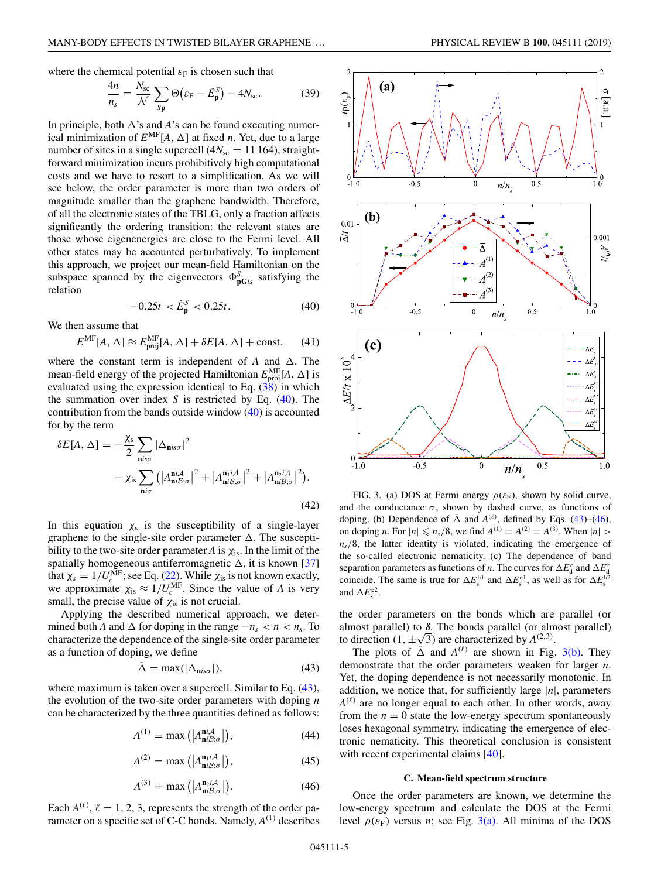<span id="page-4-0"></span>where the chemical potential  $\varepsilon_F$  is chosen such that

$$
\frac{4n}{n_s} = \frac{N_{\rm sc}}{\mathcal{N}} \sum_{\rm Sp} \Theta\big(\varepsilon_{\rm F} - \tilde{E}_{\rm p}^{\rm S}\big) - 4N_{\rm sc}.\tag{39}
$$

In principle, both  $\Delta$ 's and *A*'s can be found executing numerical minimization of  $E^{\text{MF}}[A, \Delta]$  at fixed *n*. Yet, due to a large number of sites in a single supercell  $(4N<sub>sc</sub> = 11164)$ , straightforward minimization incurs prohibitively high computational costs and we have to resort to a simplification. As we will see below, the order parameter is more than two orders of magnitude smaller than the graphene bandwidth. Therefore, of all the electronic states of the TBLG, only a fraction affects significantly the ordering transition: the relevant states are those whose eigenenergies are close to the Fermi level. All other states may be accounted perturbatively. To implement this approach, we project our mean-field Hamiltonian on the subspace spanned by the eigenvectors  $\Phi_{\mathbf{p} \mathbf{G} i s}^{S}$  satisfying the relation

$$
-0.25t < \tilde{E}_{\mathbf{p}}^{S} < 0.25t. \tag{40}
$$

We then assume that

$$
E^{\rm MF}[A,\Delta] \approx E_{\rm proj}^{\rm MF}[A,\Delta] + \delta E[A,\Delta] + \text{const},\qquad (41)
$$

where the constant term is independent of  $A$  and  $\Delta$ . The mean-field energy of the projected Hamiltonian  $E_{\text{proj}}^{\text{MF}}[A, \Delta]$  is evaluated using the expression identical to Eq. [\(38\)](#page-3-0) in which the summation over index *S* is restricted by Eq. (40). The contribution from the bands outside window (40) is accounted for by the term

$$
\delta E[A, \Delta] = -\frac{\chi_{\rm s}}{2} \sum_{\mathbf{n} i s \sigma} |\Delta_{\mathbf{n} i s \sigma}|^2
$$

$$
- \chi_{\rm is} \sum_{\mathbf{n} i \sigma} \left( |A_{\mathbf{n} i \mathcal{B}; \sigma}^{\mathbf{n} i A}|^2 + |A_{\mathbf{n} i \mathcal{B}; \sigma}^{\mathbf{n} i A}|^2 + |A_{\mathbf{n} i \mathcal{B}; \sigma}^{\mathbf{n} i A}|^2 \right). \tag{42}
$$

In this equation  $\chi_s$  is the susceptibility of a single-layer graphene to the single-site order parameter  $\Delta$ . The susceptibility to the two-site order parameter  $A$  is  $\chi$ <sub>is</sub>. In the limit of the spatially homogeneous antiferromagnetic  $\Delta$ , it is known [\[37\]](#page-8-0) that  $\chi_s = 1/U_c^{\text{MF}}$ ; see Eq. [\(22\)](#page-2-0). While  $\chi_{\text{is}}$  is not known exactly, we approximate  $\chi_{\text{is}} \approx 1/U_c^{\text{MF}}$ . Since the value of *A* is very small, the precise value of  $\chi$ <sub>is</sub> is not crucial.

Applying the described numerical approach, we determined both *A* and  $\Delta$  for doping in the range  $-n_s < n < n_s$ . To characterize the dependence of the single-site order parameter as a function of doping, we define

$$
\bar{\Delta} = \max(|\Delta_{\mathbf{n} i s \sigma}|),\tag{43}
$$

where maximum is taken over a supercell. Similar to Eq.  $(43)$ , the evolution of the two-site order parameters with doping *n* can be characterized by the three quantities defined as follows:

$$
A^{(1)} = \max\left(|A_{\mathbf{n}i\mathcal{B};\sigma}^{\mathbf{n}i\mathcal{A}}|\right),\tag{44}
$$

$$
A^{(2)} = \max\left(|A_{\mathbf{n}i\mathcal{B};\sigma}^{\mathbf{n}_1i\mathcal{A}}|\right),\tag{45}
$$

$$
A^{(3)} = \max\left( \left| A_{\mathbf{n}i\mathcal{B};\sigma}^{\mathbf{n}_2i\mathcal{A}} \right| \right). \tag{46}
$$

Each  $A^{(\ell)}$ ,  $\ell = 1, 2, 3$ , represents the strength of the order parameter on a specific set of C-C bonds. Namely,  $A^{(1)}$  describes



FIG. 3. (a) DOS at Fermi energy  $\rho(\varepsilon_F)$ , shown by solid curve, and the conductance  $\sigma$ , shown by dashed curve, as functions of doping. (b) Dependence of  $\bar{\Delta}$  and  $A^{(\ell)}$ , defined by Eqs. (43)–(46), on doping *n*. For  $|n| \le n_s/8$ , we find  $A^{(1)} = A^{(2)} = A^{(3)}$ . When  $|n| >$  $n<sub>s</sub>/8$ , the latter identity is violated, indicating the emergence of the so-called electronic nematicity. (c) The dependence of band separation parameters as functions of *n*. The curves for  $\Delta E_d^e$  and  $\Delta E_d^h$  coincide. The same is true for  $\Delta E_s^{h1}$  and  $\Delta E_s^{e1}$ , as well as for  $\Delta E_s^{h2}$ and  $\Delta E_s^{\text{e2}}$ .

the order parameters on the bonds which are parallel (or almost parallel) to *δ*. The bonds parallel (or almost parallel) to direction  $(1, \pm \sqrt{3})$  are characterized by  $A^{(2,3)}$ .

The plots of  $\bar{\Delta}$  and  $A^{(\ell)}$  are shown in Fig. 3(b). They demonstrate that the order parameters weaken for larger *n*. Yet, the doping dependence is not necessarily monotonic. In addition, we notice that, for sufficiently large |*n*|, parameters  $A^{(\ell)}$  are no longer equal to each other. In other words, away from the  $n = 0$  state the low-energy spectrum spontaneously loses hexagonal symmetry, indicating the emergence of electronic nematicity. This theoretical conclusion is consistent with recent experimental claims [\[40\]](#page-8-0).

### **C. Mean-field spectrum structure**

Once the order parameters are known, we determine the low-energy spectrum and calculate the DOS at the Fermi level  $\rho(\varepsilon_F)$  versus *n*; see Fig. 3(a). All minima of the DOS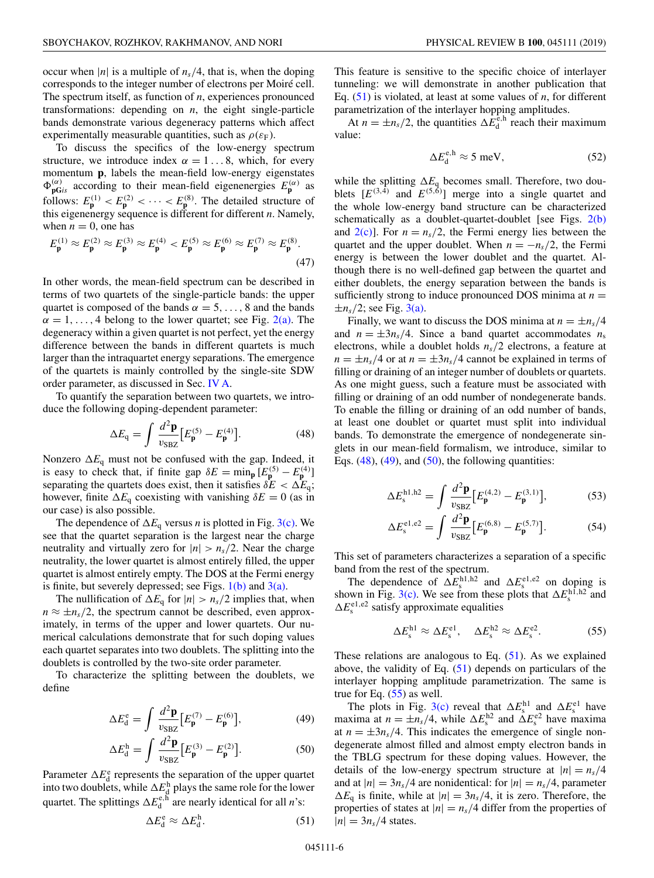<span id="page-5-0"></span>occur when  $|n|$  is a multiple of  $n_s/4$ , that is, when the doping corresponds to the integer number of electrons per Moiré cell. The spectrum itself, as function of *n*, experiences pronounced transformations: depending on *n*, the eight single-particle bands demonstrate various degeneracy patterns which affect experimentally measurable quantities, such as  $\rho(\varepsilon_F)$ .

To discuss the specifics of the low-energy spectrum structure, we introduce index  $\alpha = 1...8$ , which, for every momentum **p**, labels the mean-field low-energy eigenstates  $\Phi_{\mathbf{p} \mathbf{G} i s}^{(\alpha)}$  according to their mean-field eigenenergies  $E_{\mathbf{p}}^{(\alpha)}$  as follows:  $E_p^{(1)} < E_p^{(2)} < \cdots < E_p^{(8)}$ . The detailed structure of this eigenenergy sequence is different for different *n*. Namely, when  $n = 0$ , one has

$$
E_{\mathbf{p}}^{(1)} \approx E_{\mathbf{p}}^{(2)} \approx E_{\mathbf{p}}^{(3)} \approx E_{\mathbf{p}}^{(4)} < E_{\mathbf{p}}^{(5)} \approx E_{\mathbf{p}}^{(6)} \approx E_{\mathbf{p}}^{(7)} \approx E_{\mathbf{p}}^{(8)}.\tag{47}
$$

In other words, the mean-field spectrum can be described in terms of two quartets of the single-particle bands: the upper quartet is composed of the bands  $\alpha = 5, \ldots, 8$  and the bands  $\alpha = 1, \ldots, 4$  belong to the lower quartet; see Fig. [2\(a\).](#page-3-0) The degeneracy within a given quartet is not perfect, yet the energy difference between the bands in different quartets is much larger than the intraquartet energy separations. The emergence of the quartets is mainly controlled by the single-site SDW order parameter, as discussed in Sec. [IV A.](#page-2-0)

To quantify the separation between two quartets, we introduce the following doping-dependent parameter:

$$
\Delta E_{\mathbf{q}} = \int \frac{d^2 \mathbf{p}}{v_{\text{S}BZ}} \Big[ E_{\mathbf{p}}^{(5)} - E_{\mathbf{p}}^{(4)} \Big]. \tag{48}
$$

Nonzero  $\Delta E_q$  must not be confused with the gap. Indeed, it is easy to check that, if finite gap  $\delta E = \min_{\mathbf{p}} [E_{\mathbf{p}}^{(5)} - E_{\mathbf{p}}^{(4)}]$ separating the quartets does exist, then it satisfies  $\delta E < \Delta E_q$ ; however, finite  $\Delta E_q$  coexisting with vanishing  $\delta E = 0$  (as in our case) is also possible.

The dependence of  $\Delta E_q$  versus *n* is plotted in Fig. [3\(c\).](#page-4-0) We see that the quartet separation is the largest near the charge neutrality and virtually zero for  $|n| > n_s/2$ . Near the charge neutrality, the lower quartet is almost entirely filled, the upper quartet is almost entirely empty. The DOS at the Fermi energy is finite, but severely depressed; see Figs.  $1(b)$  and  $3(a)$ .

The nullification of  $\Delta E_q$  for  $|n| > n_s/2$  implies that, when  $n \approx \pm n_s/2$ , the spectrum cannot be described, even approximately, in terms of the upper and lower quartets. Our numerical calculations demonstrate that for such doping values each quartet separates into two doublets. The splitting into the doublets is controlled by the two-site order parameter.

To characterize the splitting between the doublets, we define

$$
\Delta E_{\rm d}^{\rm e} = \int \frac{d^2 \mathbf{p}}{v_{\rm SEZ}} \left[ E_{\mathbf{p}}^{(7)} - E_{\mathbf{p}}^{(6)} \right],\tag{49}
$$

$$
\Delta E_{\rm d}^{\rm h} = \int \frac{d^2 \mathbf{p}}{v_{\rm SBZ}} \big[ E_{\mathbf{p}}^{(3)} - E_{\mathbf{p}}^{(2)} \big]. \tag{50}
$$

Parameter  $\Delta E_d^e$  represents the separation of the upper quartet into two doublets, while  $\Delta E_{\rm d}^{\rm h}$  plays the same role for the lower quartet. The splittings  $\Delta E_d^{\text{e},h}$  are nearly identical for all *n*'s:

$$
\Delta E_{\rm d}^{\rm e} \approx \Delta E_{\rm d}^{\rm h}.\tag{51}
$$

This feature is sensitive to the specific choice of interlayer tunneling: we will demonstrate in another publication that Eq. (51) is violated, at least at some values of *n*, for different parametrization of the interlayer hopping amplitudes.

At  $n = \pm n_s/2$ , the quantities  $\Delta E_d^{\hat{e},h}$  reach their maximum value:

$$
\Delta E_{\rm d}^{\rm e,h} \approx 5 \text{ meV},\tag{52}
$$

while the splitting  $\Delta E_q$  becomes small. Therefore, two doublets  $[E^{(3,4)}$  and  $E^{(5,6)}]$  merge into a single quartet and the whole low-energy band structure can be characterized schematically as a doublet-quartet-doublet [see Figs. [2\(b\)](#page-3-0) and  $2(c)$ ]. For  $n = n_s/2$ , the Fermi energy lies between the quartet and the upper doublet. When  $n = -n_s/2$ , the Fermi energy is between the lower doublet and the quartet. Although there is no well-defined gap between the quartet and either doublets, the energy separation between the bands is sufficiently strong to induce pronounced DOS minima at  $n =$  $\pm n_s/2$ ; see Fig. [3\(a\).](#page-4-0)

Finally, we want to discuss the DOS minima at  $n = \pm n_s/4$ and  $n = \pm 3n_s/4$ . Since a band quartet accommodates  $n_s$ electrons, while a doublet holds *ns*/2 electrons, a feature at  $n = \pm n_s/4$  or at  $n = \pm 3n_s/4$  cannot be explained in terms of filling or draining of an integer number of doublets or quartets. As one might guess, such a feature must be associated with filling or draining of an odd number of nondegenerate bands. To enable the filling or draining of an odd number of bands, at least one doublet or quartet must split into individual bands. To demonstrate the emergence of nondegenerate singlets in our mean-field formalism, we introduce, similar to Eqs.  $(48)$ ,  $(49)$ , and  $(50)$ , the following quantities:

$$
\Delta E_{\rm s}^{\rm h1,h2} = \int \frac{d^2 \mathbf{p}}{v_{\rm SBZ}} \big[ E_{\mathbf{p}}^{(4,2)} - E_{\mathbf{p}}^{(3,1)} \big],\tag{53}
$$

$$
\Delta E_{\rm s}^{\rm el,e2} = \int \frac{d^2 \mathbf{p}}{v_{\rm SBZ}} \Big[ E_{\mathbf{p}}^{(6,8)} - E_{\mathbf{p}}^{(5,7)} \Big]. \tag{54}
$$

This set of parameters characterizes a separation of a specific band from the rest of the spectrum.

The dependence of  $\Delta E_s^{\text{h1,h2}}$  and  $\Delta E_s^{\text{e1,e2}}$  on doping is shown in Fig. [3\(c\).](#page-4-0) We see from these plots that  $\Delta E_s^{\text{hl},\text{h2}}$  and  $\Delta E_{\rm s}^{\rm el,e2}$  satisfy approximate equalities

$$
\Delta E_{\rm s}^{\rm h1} \approx \Delta E_{\rm s}^{\rm el}, \quad \Delta E_{\rm s}^{\rm h2} \approx \Delta E_{\rm s}^{\rm e2}.\tag{55}
$$

These relations are analogous to Eq.  $(51)$ . As we explained above, the validity of Eq.  $(51)$  depends on particulars of the interlayer hopping amplitude parametrization. The same is true for Eq. (55) as well.

The plots in Fig. [3\(c\)](#page-4-0) reveal that  $\Delta E_s^{\text{hl}}$  and  $\Delta E_s^{\text{el}}$  have maxima at  $n = \pm n_s/4$ , while  $\Delta E_s^{\text{h2}}$  and  $\Delta E_s^{\text{e2}}$  have maxima at  $n = \pm 3n_s/4$ . This indicates the emergence of single nondegenerate almost filled and almost empty electron bands in the TBLG spectrum for these doping values. However, the details of the low-energy spectrum structure at  $|n| = n_s/4$ and at  $|n| = 3n_s/4$  are nonidentical: for  $|n| = n_s/4$ , parameter  $\Delta E_q$  is finite, while at  $|n| = 3n_s/4$ , it is zero. Therefore, the properties of states at  $|n| = n_s/4$  differ from the properties of  $|n| = 3n_s/4$  states.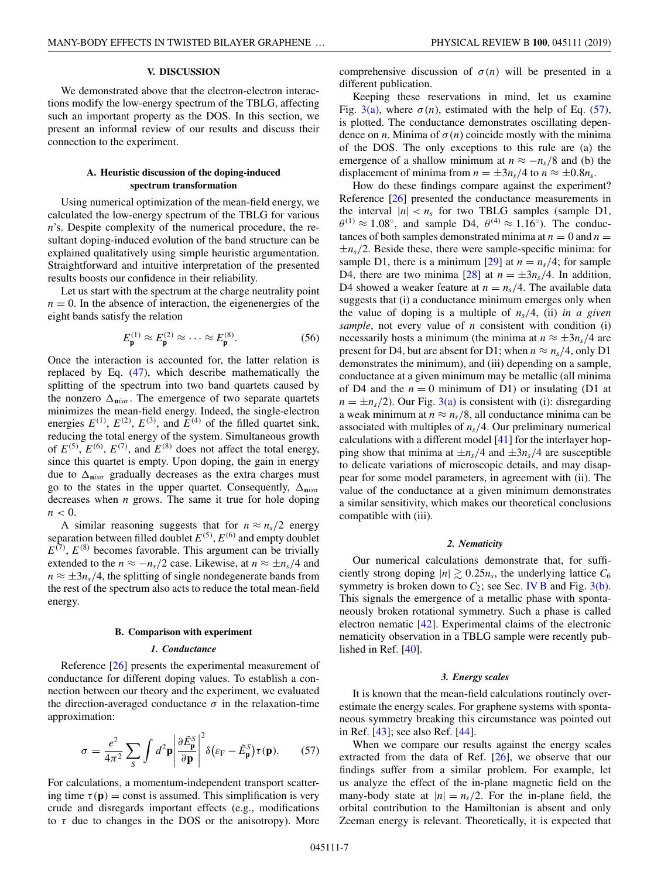### **V. DISCUSSION**

<span id="page-6-0"></span>We demonstrated above that the electron-electron interactions modify the low-energy spectrum of the TBLG, affecting such an important property as the DOS. In this section, we present an informal review of our results and discuss their connection to the experiment.

### **A. Heuristic discussion of the doping-induced spectrum transformation**

Using numerical optimization of the mean-field energy, we calculated the low-energy spectrum of the TBLG for various *n*'s. Despite complexity of the numerical procedure, the resultant doping-induced evolution of the band structure can be explained qualitatively using simple heuristic argumentation. Straightforward and intuitive interpretation of the presented results boosts our confidence in their reliability.

Let us start with the spectrum at the charge neutrality point  $n = 0$ . In the absence of interaction, the eigenenergies of the eight bands satisfy the relation

$$
E_{\mathbf{p}}^{(1)} \approx E_{\mathbf{p}}^{(2)} \approx \cdots \approx E_{\mathbf{p}}^{(8)}.
$$
 (56)

Once the interaction is accounted for, the latter relation is replaced by Eq. [\(47\)](#page-5-0), which describe mathematically the splitting of the spectrum into two band quartets caused by the nonzero  $\Delta_{\text{niso}}$ . The emergence of two separate quartets minimizes the mean-field energy. Indeed, the single-electron energies  $E^{(1)}$ ,  $E^{(2)}$ ,  $E^{(3)}$ , and  $E^{(4)}$  of the filled quartet sink, reducing the total energy of the system. Simultaneous growth of  $E^{(5)}$ ,  $E^{(6)}$ ,  $E^{(7)}$ , and  $E^{(8)}$  does not affect the total energy, since this quartet is empty. Upon doping, the gain in energy due to  $\Delta_{\text{niso}}$  gradually decreases as the extra charges must go to the states in the upper quartet. Consequently,  $\Delta_{\mathbf{n} i s \sigma}$ decreases when *n* grows. The same it true for hole doping  $n < 0$ .

A similar reasoning suggests that for  $n \approx n_s/2$  energy separation between filled doublet  $E^{(5)}$ ,  $E^{(6)}$  and empty doublet  $E^{(7)}$ ,  $E^{(8)}$  becomes favorable. This argument can be trivially extended to the  $n \approx -n_s/2$  case. Likewise, at  $n \approx \pm n_s/4$  and  $n \approx \pm 3n_s/4$ , the splitting of single nondegenerate bands from the rest of the spectrum also acts to reduce the total mean-field energy.

## **B. Comparison with experiment**

#### *1. Conductance*

Reference [\[26\]](#page-8-0) presents the experimental measurement of conductance for different doping values. To establish a connection between our theory and the experiment, we evaluated the direction-averaged conductance  $\sigma$  in the relaxation-time approximation:

$$
\sigma = \frac{e^2}{4\pi^2} \sum_{S} \int d^2 \mathbf{p} \left| \frac{\partial \tilde{E}_{\mathbf{p}}^S}{\partial \mathbf{p}} \right|^2 \delta(\varepsilon_F - \tilde{E}_{\mathbf{p}}^S) \tau(\mathbf{p}). \tag{57}
$$

For calculations, a momentum-independent transport scattering time  $\tau(\mathbf{p}) = \text{const}$  is assumed. This simplification is very crude and disregards important effects (e.g., modifications to  $\tau$  due to changes in the DOS or the anisotropy). More comprehensive discussion of  $\sigma(n)$  will be presented in a different publication.

Keeping these reservations in mind, let us examine Fig. [3\(a\),](#page-4-0) where  $\sigma(n)$ , estimated with the help of Eq. (57), is plotted. The conductance demonstrates oscillating dependence on *n*. Minima of  $\sigma(n)$  coincide mostly with the minima of the DOS. The only exceptions to this rule are (a) the emergence of a shallow minimum at  $n \approx -n_s/8$  and (b) the displacement of minima from  $n = \pm 3n_s/4$  to  $n \approx \pm 0.8n_s$ .

How do these findings compare against the experiment? Reference [\[26\]](#page-8-0) presented the conductance measurements in the interval  $|n| < n_s$  for two TBLG samples (sample D1,  $\theta^{(1)} \approx 1.08^{\circ}$ , and sample D4,  $\theta^{(4)} \approx 1.16^{\circ}$ ). The conductances of both samples demonstrated minima at  $n = 0$  and  $n = 1$  $\pm n_s/2$ . Beside these, there were sample-specific minima: for sample D1, there is a minimum [\[29\]](#page-8-0) at  $n = n_s/4$ ; for sample D4, there are two minima [\[28\]](#page-8-0) at  $n = \pm 3n_s/4$ . In addition, D4 showed a weaker feature at  $n = n_s/4$ . The available data suggests that (i) a conductance minimum emerges only when the value of doping is a multiple of *ns*/4, (ii) *in a given sample*, not every value of *n* consistent with condition (i) necessarily hosts a minimum (the minima at  $n \approx \pm 3n_s/4$  are present for D4, but are absent for D1; when  $n \approx n_s/4$ , only D1 demonstrates the minimum), and (iii) depending on a sample, conductance at a given minimum may be metallic (all minima of D4 and the  $n = 0$  minimum of D1) or insulating (D1 at  $n = \pm n_s/2$ ). Our Fig. [3\(a\)](#page-4-0) is consistent with (i): disregarding a weak minimum at  $n \approx n_s/8$ , all conductance minima can be associated with multiples of *ns*/4. Our preliminary numerical calculations with a different model [\[41\]](#page-8-0) for the interlayer hopping show that minima at  $\pm n_s/4$  and  $\pm 3n_s/4$  are susceptible to delicate variations of microscopic details, and may disappear for some model parameters, in agreement with (ii). The value of the conductance at a given minimum demonstrates a similar sensitivity, which makes our theoretical conclusions compatible with (iii).

### *2. Nematicity*

Our numerical calculations demonstrate that, for sufficiently strong doping  $|n| \gtrsim 0.25n_s$ , the underlying lattice  $C_6$ symmetry is broken down to  $C_2$ ; see Sec. [IV B](#page-2-0) and Fig. [3\(b\).](#page-4-0) This signals the emergence of a metallic phase with spontaneously broken rotational symmetry. Such a phase is called electron nematic [\[42\]](#page-8-0). Experimental claims of the electronic nematicity observation in a TBLG sample were recently published in Ref. [\[40\]](#page-8-0).

#### *3. Energy scales*

It is known that the mean-field calculations routinely overestimate the energy scales. For graphene systems with spontaneous symmetry breaking this circumstance was pointed out in Ref. [\[43\]](#page-8-0); see also Ref. [\[44\]](#page-8-0).

When we compare our results against the energy scales extracted from the data of Ref. [\[26\]](#page-8-0), we observe that our findings suffer from a similar problem. For example, let us analyze the effect of the in-plane magnetic field on the many-body state at  $|n| = n_s/2$ . For the in-plane field, the orbital contribution to the Hamiltonian is absent and only Zeeman energy is relevant. Theoretically, it is expected that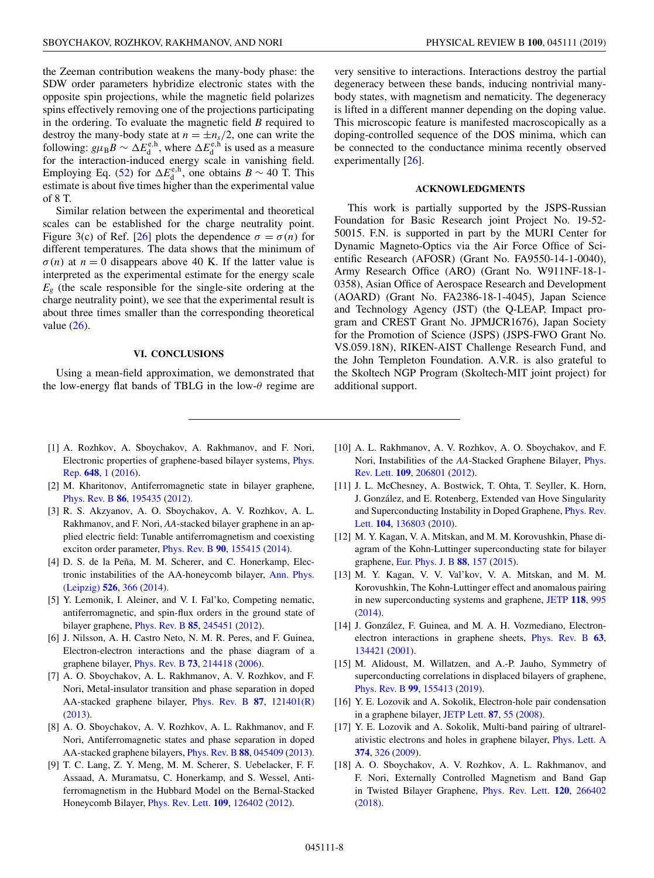<span id="page-7-0"></span>the Zeeman contribution weakens the many-body phase: the SDW order parameters hybridize electronic states with the opposite spin projections, while the magnetic field polarizes spins effectively removing one of the projections participating in the ordering. To evaluate the magnetic field *B* required to destroy the many-body state at  $n = \pm n_s/2$ , one can write the following:  $g\mu_B B \sim \Delta E_d^{\text{e},\text{h}}$ , where  $\Delta E_d^{\text{e},\text{h}}$  is used as a measure for the interaction-induced energy scale in vanishing field. Employing Eq. [\(52\)](#page-5-0) for  $\Delta E_d^{\text{e},h}$ , one obtains *B* ~ 40 T. This estimate is about five times higher than the experimental value of 8 T.

Similar relation between the experimental and theoretical scales can be established for the charge neutrality point. Figure 3(c) of Ref. [\[26\]](#page-8-0) plots the dependence  $\sigma = \sigma(n)$  for different temperatures. The data shows that the minimum of  $\sigma(n)$  at  $n = 0$  disappears above 40 K. If the latter value is interpreted as the experimental estimate for the energy scale  $E_g$  (the scale responsible for the single-site ordering at the charge neutrality point), we see that the experimental result is about three times smaller than the corresponding theoretical value [\(26\)](#page-2-0).

## **VI. CONCLUSIONS**

Using a mean-field approximation, we demonstrated that the low-energy flat bands of TBLG in the low- $\theta$  regime are very sensitive to interactions. Interactions destroy the partial degeneracy between these bands, inducing nontrivial manybody states, with magnetism and nematicity. The degeneracy is lifted in a different manner depending on the doping value. This microscopic feature is manifested macroscopically as a doping-controlled sequence of the DOS minima, which can be connected to the conductance minima recently observed experimentally [\[26\]](#page-8-0).

### **ACKNOWLEDGMENTS**

This work is partially supported by the JSPS-Russian Foundation for Basic Research joint Project No. 19-52- 50015. F.N. is supported in part by the MURI Center for Dynamic Magneto-Optics via the Air Force Office of Scientific Research (AFOSR) (Grant No. FA9550-14-1-0040), Army Research Office (ARO) (Grant No. W911NF-18-1- 0358), Asian Office of Aerospace Research and Development (AOARD) (Grant No. FA2386-18-1-4045), Japan Science and Technology Agency (JST) (the Q-LEAP, Impact program and CREST Grant No. JPMJCR1676), Japan Society for the Promotion of Science (JSPS) (JSPS-FWO Grant No. VS.059.18N), RIKEN-AIST Challenge Research Fund, and the John Templeton Foundation. A.V.R. is also grateful to the Skoltech NGP Program (Skoltech-MIT joint project) for additional support.

- [1] A. Rozhkov, A. Sboychakov, A. Rakhmanov, and F. Nori, [Electronic properties of graphene-based bilayer systems,](https://doi.org/10.1016/j.physrep.2016.07.003) Phys. Rep. **[648](https://doi.org/10.1016/j.physrep.2016.07.003)**, [1](https://doi.org/10.1016/j.physrep.2016.07.003) [\(2016\)](https://doi.org/10.1016/j.physrep.2016.07.003).
- [2] M. Kharitonov, Antiferromagnetic state in bilayer graphene, [Phys. Rev. B](https://doi.org/10.1103/PhysRevB.86.195435) **[86](https://doi.org/10.1103/PhysRevB.86.195435)**, [195435](https://doi.org/10.1103/PhysRevB.86.195435) [\(2012\)](https://doi.org/10.1103/PhysRevB.86.195435).
- [3] R. S. Akzyanov, A. O. Sboychakov, A. V. Rozhkov, A. L. Rakhmanov, and F. Nori, *AA*-stacked bilayer graphene in an applied electric field: Tunable antiferromagnetism and coexisting exciton order parameter, [Phys. Rev. B](https://doi.org/10.1103/PhysRevB.90.155415) **[90](https://doi.org/10.1103/PhysRevB.90.155415)**, [155415](https://doi.org/10.1103/PhysRevB.90.155415) [\(2014\)](https://doi.org/10.1103/PhysRevB.90.155415).
- [4] D. S. de la Peña, M. M. Scherer, and C. Honerkamp, Elec[tronic instabilities of the AA-honeycomb bilayer,](https://doi.org/10.1002/andp.201400088) Ann. Phys. (Leipzig) **[526](https://doi.org/10.1002/andp.201400088)**, [366](https://doi.org/10.1002/andp.201400088) [\(2014\)](https://doi.org/10.1002/andp.201400088).
- [5] Y. Lemonik, I. Aleiner, and V. I. Fal'ko, Competing nematic, antiferromagnetic, and spin-flux orders in the ground state of bilayer graphene, [Phys. Rev. B](https://doi.org/10.1103/PhysRevB.85.245451) **[85](https://doi.org/10.1103/PhysRevB.85.245451)**, [245451](https://doi.org/10.1103/PhysRevB.85.245451) [\(2012\)](https://doi.org/10.1103/PhysRevB.85.245451).
- [6] J. Nilsson, A. H. Castro Neto, N. M. R. Peres, and F. Guinea, Electron-electron interactions and the phase diagram of a graphene bilayer, [Phys. Rev. B](https://doi.org/10.1103/PhysRevB.73.214418) **[73](https://doi.org/10.1103/PhysRevB.73.214418)**, [214418](https://doi.org/10.1103/PhysRevB.73.214418) [\(2006\)](https://doi.org/10.1103/PhysRevB.73.214418).
- [7] A. O. Sboychakov, A. L. Rakhmanov, A. V. Rozhkov, and F. Nori, Metal-insulator transition and phase separation in doped AA-stacked graphene bilayer, [Phys. Rev. B](https://doi.org/10.1103/PhysRevB.87.121401) **[87](https://doi.org/10.1103/PhysRevB.87.121401)**, [121401\(R\)](https://doi.org/10.1103/PhysRevB.87.121401) [\(2013\)](https://doi.org/10.1103/PhysRevB.87.121401).
- [8] A. O. Sboychakov, A. V. Rozhkov, A. L. Rakhmanov, and F. Nori, Antiferromagnetic states and phase separation in doped AA-stacked graphene bilayers, [Phys. Rev. B](https://doi.org/10.1103/PhysRevB.88.045409) **[88](https://doi.org/10.1103/PhysRevB.88.045409)**, [045409](https://doi.org/10.1103/PhysRevB.88.045409) [\(2013\)](https://doi.org/10.1103/PhysRevB.88.045409).
- [9] T. C. Lang, Z. Y. Meng, M. M. Scherer, S. Uebelacker, F. F. Assaad, A. Muramatsu, C. Honerkamp, and S. Wessel, Antiferromagnetism in the Hubbard Model on the Bernal-Stacked Honeycomb Bilayer, [Phys. Rev. Lett.](https://doi.org/10.1103/PhysRevLett.109.126402) **[109](https://doi.org/10.1103/PhysRevLett.109.126402)**, [126402](https://doi.org/10.1103/PhysRevLett.109.126402) [\(2012\)](https://doi.org/10.1103/PhysRevLett.109.126402).
- [10] A. L. Rakhmanov, A. V. Rozhkov, A. O. Sboychakov, and F. Nori, Instabilities of the *AA*[-Stacked Graphene Bilayer,](https://doi.org/10.1103/PhysRevLett.109.206801) Phys. Rev. Lett. **[109](https://doi.org/10.1103/PhysRevLett.109.206801)**, [206801](https://doi.org/10.1103/PhysRevLett.109.206801) [\(2012\)](https://doi.org/10.1103/PhysRevLett.109.206801).
- [11] J. L. McChesney, A. Bostwick, T. Ohta, T. Seyller, K. Horn, J. González, and E. Rotenberg, Extended van Hove Singularity [and Superconducting Instability in Doped Graphene,](https://doi.org/10.1103/PhysRevLett.104.136803) Phys. Rev. Lett. **[104](https://doi.org/10.1103/PhysRevLett.104.136803)**, [136803](https://doi.org/10.1103/PhysRevLett.104.136803) [\(2010\)](https://doi.org/10.1103/PhysRevLett.104.136803).
- [12] M. Y. Kagan, V. A. Mitskan, and M. M. Korovushkin, Phase diagram of the Kohn-Luttinger superconducting state for bilayer graphene, [Eur. Phys. J. B](https://doi.org/10.1140/epjb/e2015-60198-x) **[88](https://doi.org/10.1140/epjb/e2015-60198-x)**, [157](https://doi.org/10.1140/epjb/e2015-60198-x) [\(2015\)](https://doi.org/10.1140/epjb/e2015-60198-x).
- [13] M. Y. Kagan, V. V. Val'kov, V. A. Mitskan, and M. M. Korovushkin, The Kohn-Luttinger effect and anomalous pairing in new superconducting systems and graphene, [JETP](https://doi.org/10.1134/S1063776114060132) **[118](https://doi.org/10.1134/S1063776114060132)**, [995](https://doi.org/10.1134/S1063776114060132) [\(2014\)](https://doi.org/10.1134/S1063776114060132).
- [14] J. González, F. Guinea, and M. A. H. Vozmediano, Electronelectron interactions in graphene sheets, [Phys. Rev. B](https://doi.org/10.1103/PhysRevB.63.134421) **[63](https://doi.org/10.1103/PhysRevB.63.134421)**, [134421](https://doi.org/10.1103/PhysRevB.63.134421) [\(2001\)](https://doi.org/10.1103/PhysRevB.63.134421).
- [15] M. Alidoust, M. Willatzen, and A.-P. Jauho, Symmetry of superconducting correlations in displaced bilayers of graphene, [Phys. Rev. B](https://doi.org/10.1103/PhysRevB.99.155413) **[99](https://doi.org/10.1103/PhysRevB.99.155413)**, [155413](https://doi.org/10.1103/PhysRevB.99.155413) [\(2019\)](https://doi.org/10.1103/PhysRevB.99.155413).
- [16] Y. E. Lozovik and A. Sokolik, Electron-hole pair condensation in a graphene bilayer, [JETP Lett.](https://doi.org/10.1134/S002136400801013X) **[87](https://doi.org/10.1134/S002136400801013X)**, [55](https://doi.org/10.1134/S002136400801013X) [\(2008\)](https://doi.org/10.1134/S002136400801013X).
- [17] Y. E. Lozovik and A. Sokolik, Multi-band pairing of ultrarelativistic electrons and holes in graphene bilayer, [Phys. Lett. A](https://doi.org/10.1016/j.physleta.2009.10.045) **[374](https://doi.org/10.1016/j.physleta.2009.10.045)**, [326](https://doi.org/10.1016/j.physleta.2009.10.045) [\(2009\)](https://doi.org/10.1016/j.physleta.2009.10.045).
- [18] A. O. Sboychakov, A. V. Rozhkov, A. L. Rakhmanov, and F. Nori, Externally Controlled Magnetism and Band Gap in Twisted Bilayer Graphene, [Phys. Rev. Lett.](https://doi.org/10.1103/PhysRevLett.120.266402) **[120](https://doi.org/10.1103/PhysRevLett.120.266402)**, [266402](https://doi.org/10.1103/PhysRevLett.120.266402) [\(2018\)](https://doi.org/10.1103/PhysRevLett.120.266402).